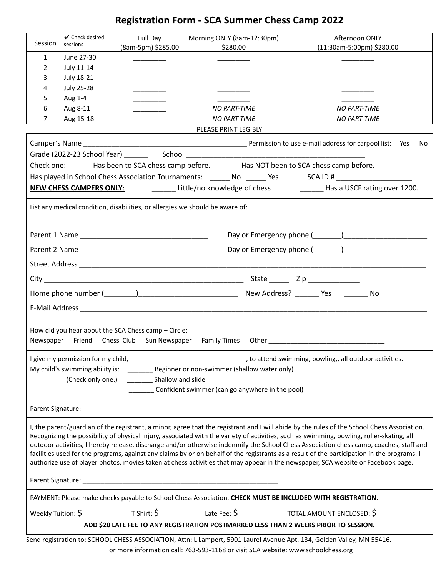# **Registration Form - SCA Summer Chess Camp 2022**

| Session                                                                                                                                                                                                                                                                                                                                                                                                                                                                                                                                                                                                                                                                                                               | $\vee$ Check desired<br>sessions | Full Day           | Morning ONLY (8am-12:30pm)                                                                                                 | Afternoon ONLY                                                                            |
|-----------------------------------------------------------------------------------------------------------------------------------------------------------------------------------------------------------------------------------------------------------------------------------------------------------------------------------------------------------------------------------------------------------------------------------------------------------------------------------------------------------------------------------------------------------------------------------------------------------------------------------------------------------------------------------------------------------------------|----------------------------------|--------------------|----------------------------------------------------------------------------------------------------------------------------|-------------------------------------------------------------------------------------------|
| $\mathbf{1}$                                                                                                                                                                                                                                                                                                                                                                                                                                                                                                                                                                                                                                                                                                          | June 27-30                       | (8am-5pm) \$285.00 | \$280.00                                                                                                                   | (11:30am-5:00pm) \$280.00                                                                 |
| 2                                                                                                                                                                                                                                                                                                                                                                                                                                                                                                                                                                                                                                                                                                                     | July 11-14                       |                    |                                                                                                                            |                                                                                           |
| 3                                                                                                                                                                                                                                                                                                                                                                                                                                                                                                                                                                                                                                                                                                                     | <b>July 18-21</b>                |                    |                                                                                                                            |                                                                                           |
| 4                                                                                                                                                                                                                                                                                                                                                                                                                                                                                                                                                                                                                                                                                                                     | <b>July 25-28</b>                |                    |                                                                                                                            |                                                                                           |
| 5                                                                                                                                                                                                                                                                                                                                                                                                                                                                                                                                                                                                                                                                                                                     | Aug 1-4                          |                    |                                                                                                                            |                                                                                           |
| 6                                                                                                                                                                                                                                                                                                                                                                                                                                                                                                                                                                                                                                                                                                                     | Aug 8-11                         |                    | <b>NO PART-TIME</b>                                                                                                        | <b>NO PART-TIME</b>                                                                       |
| 7                                                                                                                                                                                                                                                                                                                                                                                                                                                                                                                                                                                                                                                                                                                     | Aug 15-18                        |                    | <b>NO PART-TIME</b>                                                                                                        | <b>NO PART-TIME</b>                                                                       |
| PLEASE PRINT LEGIBLY                                                                                                                                                                                                                                                                                                                                                                                                                                                                                                                                                                                                                                                                                                  |                                  |                    |                                                                                                                            |                                                                                           |
| No                                                                                                                                                                                                                                                                                                                                                                                                                                                                                                                                                                                                                                                                                                                    |                                  |                    |                                                                                                                            |                                                                                           |
|                                                                                                                                                                                                                                                                                                                                                                                                                                                                                                                                                                                                                                                                                                                       |                                  |                    |                                                                                                                            |                                                                                           |
| Check one: _____ Has been to SCA chess camp before. _____ Has NOT been to SCA chess camp before.                                                                                                                                                                                                                                                                                                                                                                                                                                                                                                                                                                                                                      |                                  |                    |                                                                                                                            |                                                                                           |
| Has played in School Chess Association Tournaments: _______ No ______ Yes SCA ID # ________________                                                                                                                                                                                                                                                                                                                                                                                                                                                                                                                                                                                                                   |                                  |                    |                                                                                                                            |                                                                                           |
|                                                                                                                                                                                                                                                                                                                                                                                                                                                                                                                                                                                                                                                                                                                       |                                  |                    |                                                                                                                            | NEW CHESS CAMPERS ONLY: Little/no knowledge of chess Lateral Has a USCF rating over 1200. |
| List any medical condition, disabilities, or allergies we should be aware of:                                                                                                                                                                                                                                                                                                                                                                                                                                                                                                                                                                                                                                         |                                  |                    |                                                                                                                            |                                                                                           |
|                                                                                                                                                                                                                                                                                                                                                                                                                                                                                                                                                                                                                                                                                                                       |                                  |                    |                                                                                                                            |                                                                                           |
|                                                                                                                                                                                                                                                                                                                                                                                                                                                                                                                                                                                                                                                                                                                       |                                  |                    |                                                                                                                            |                                                                                           |
|                                                                                                                                                                                                                                                                                                                                                                                                                                                                                                                                                                                                                                                                                                                       |                                  |                    |                                                                                                                            |                                                                                           |
|                                                                                                                                                                                                                                                                                                                                                                                                                                                                                                                                                                                                                                                                                                                       |                                  |                    |                                                                                                                            |                                                                                           |
| No                                                                                                                                                                                                                                                                                                                                                                                                                                                                                                                                                                                                                                                                                                                    |                                  |                    |                                                                                                                            |                                                                                           |
|                                                                                                                                                                                                                                                                                                                                                                                                                                                                                                                                                                                                                                                                                                                       |                                  |                    |                                                                                                                            |                                                                                           |
|                                                                                                                                                                                                                                                                                                                                                                                                                                                                                                                                                                                                                                                                                                                       |                                  |                    |                                                                                                                            |                                                                                           |
| How did you hear about the SCA Chess camp - Circle:                                                                                                                                                                                                                                                                                                                                                                                                                                                                                                                                                                                                                                                                   |                                  |                    |                                                                                                                            |                                                                                           |
| Newspaper Friend Chess Club Sun Newspaper                                                                                                                                                                                                                                                                                                                                                                                                                                                                                                                                                                                                                                                                             |                                  |                    |                                                                                                                            |                                                                                           |
|                                                                                                                                                                                                                                                                                                                                                                                                                                                                                                                                                                                                                                                                                                                       |                                  |                    |                                                                                                                            |                                                                                           |
|                                                                                                                                                                                                                                                                                                                                                                                                                                                                                                                                                                                                                                                                                                                       |                                  |                    |                                                                                                                            |                                                                                           |
| (Check only one.)                                                                                                                                                                                                                                                                                                                                                                                                                                                                                                                                                                                                                                                                                                     |                                  |                    |                                                                                                                            |                                                                                           |
| Confident swimmer (can go anywhere in the pool)                                                                                                                                                                                                                                                                                                                                                                                                                                                                                                                                                                                                                                                                       |                                  |                    |                                                                                                                            |                                                                                           |
|                                                                                                                                                                                                                                                                                                                                                                                                                                                                                                                                                                                                                                                                                                                       |                                  |                    |                                                                                                                            |                                                                                           |
|                                                                                                                                                                                                                                                                                                                                                                                                                                                                                                                                                                                                                                                                                                                       |                                  |                    |                                                                                                                            |                                                                                           |
| I, the parent/guardian of the registrant, a minor, agree that the registrant and I will abide by the rules of the School Chess Association.<br>Recognizing the possibility of physical injury, associated with the variety of activities, such as swimming, bowling, roller-skating, all<br>outdoor activities, I hereby release, discharge and/or otherwise indemnify the School Chess Association chess camp, coaches, staff and<br>facilities used for the programs, against any claims by or on behalf of the registrants as a result of the participation in the programs. I<br>authorize use of player photos, movies taken at chess activities that may appear in the newspaper, SCA website or Facebook page. |                                  |                    |                                                                                                                            |                                                                                           |
|                                                                                                                                                                                                                                                                                                                                                                                                                                                                                                                                                                                                                                                                                                                       |                                  |                    |                                                                                                                            |                                                                                           |
| PAYMENT: Please make checks payable to School Chess Association. CHECK MUST BE INCLUDED WITH REGISTRATION.                                                                                                                                                                                                                                                                                                                                                                                                                                                                                                                                                                                                            |                                  |                    |                                                                                                                            |                                                                                           |
| Weekly Tuition: \$                                                                                                                                                                                                                                                                                                                                                                                                                                                                                                                                                                                                                                                                                                    |                                  |                    | T Shirt: $\acute{\bm{\zeta}}$ $\qquad$ Late Fee: $\acute{\bm{\zeta}}$ $\qquad$ TOTAL AMOUNT ENCLOSED: $\acute{\bm{\zeta}}$ |                                                                                           |
| ADD \$20 LATE FEE TO ANY REGISTRATION POSTMARKED LESS THAN 2 WEEKS PRIOR TO SESSION.                                                                                                                                                                                                                                                                                                                                                                                                                                                                                                                                                                                                                                  |                                  |                    |                                                                                                                            |                                                                                           |
| Send registration to: SCHOOL CHESS ASSOCIATION, Attn: L Lampert, 5901 Laurel Avenue Apt. 134, Golden Valley, MN 55416.                                                                                                                                                                                                                                                                                                                                                                                                                                                                                                                                                                                                |                                  |                    |                                                                                                                            |                                                                                           |

For more information call: 763-593-1168 or visit SCA website: www.schoolchess.org